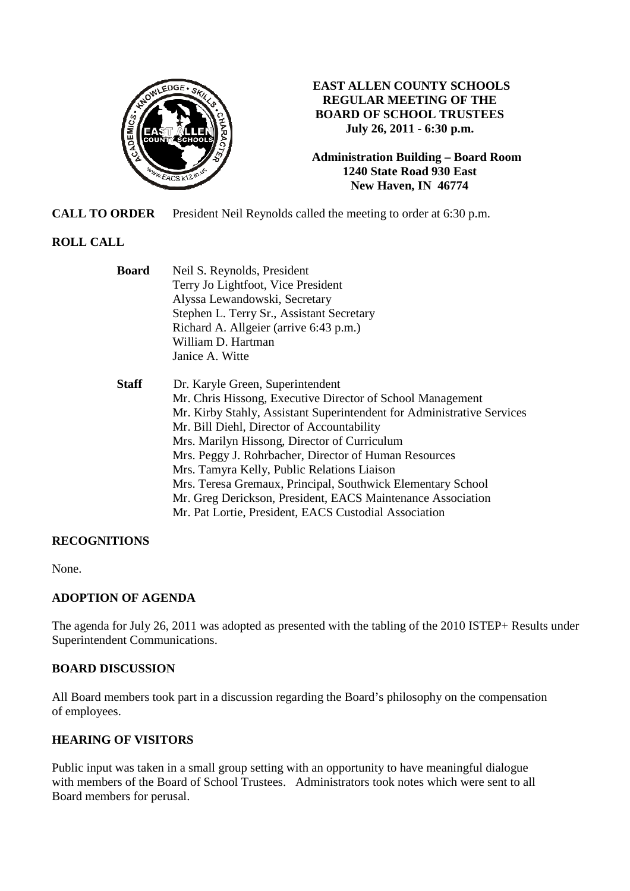

### **EAST ALLEN COUNTY SCHOOLS REGULAR MEETING OF THE BOARD OF SCHOOL TRUSTEES July 26, 2011 - 6:30 p.m.**

**Administration Building – Board Room 1240 State Road 930 East New Haven, IN 46774**

**CALL TO ORDER** President Neil Reynolds called the meeting to order at 6:30 p.m.

# **ROLL CALL**

| <b>Board</b> | Neil S. Reynolds, President                                            |  |  |
|--------------|------------------------------------------------------------------------|--|--|
|              | Terry Jo Lightfoot, Vice President                                     |  |  |
|              | Alyssa Lewandowski, Secretary                                          |  |  |
|              | Stephen L. Terry Sr., Assistant Secretary                              |  |  |
|              | Richard A. Allgeier (arrive 6:43 p.m.)                                 |  |  |
|              | William D. Hartman                                                     |  |  |
|              | Janice A. Witte                                                        |  |  |
| <b>Staff</b> | Dr. Karyle Green, Superintendent                                       |  |  |
|              | Mr. Chris Hissong, Executive Director of School Management             |  |  |
|              | Mr. Kirby Stahly, Assistant Superintendent for Administrative Services |  |  |
|              | Mr. Bill Diehl, Director of Accountability                             |  |  |
|              | Mrs. Marilyn Hissong, Director of Curriculum                           |  |  |
|              | Mrs. Peggy J. Rohrbacher, Director of Human Resources                  |  |  |
|              | Mrs. Tamyra Kelly, Public Relations Liaison                            |  |  |
|              | Mrs. Teresa Gremaux, Principal, Southwick Elementary School            |  |  |
|              | Mr. Greg Derickson, President, EACS Maintenance Association            |  |  |
|              | Mr. Pat Lortie, President, EACS Custodial Association                  |  |  |

# **RECOGNITIONS**

None.

# **ADOPTION OF AGENDA**

The agenda for July 26, 2011 was adopted as presented with the tabling of the 2010 ISTEP+ Results under Superintendent Communications.

# **BOARD DISCUSSION**

All Board members took part in a discussion regarding the Board's philosophy on the compensation of employees.

# **HEARING OF VISITORS**

Public input was taken in a small group setting with an opportunity to have meaningful dialogue with members of the Board of School Trustees. Administrators took notes which were sent to all Board members for perusal.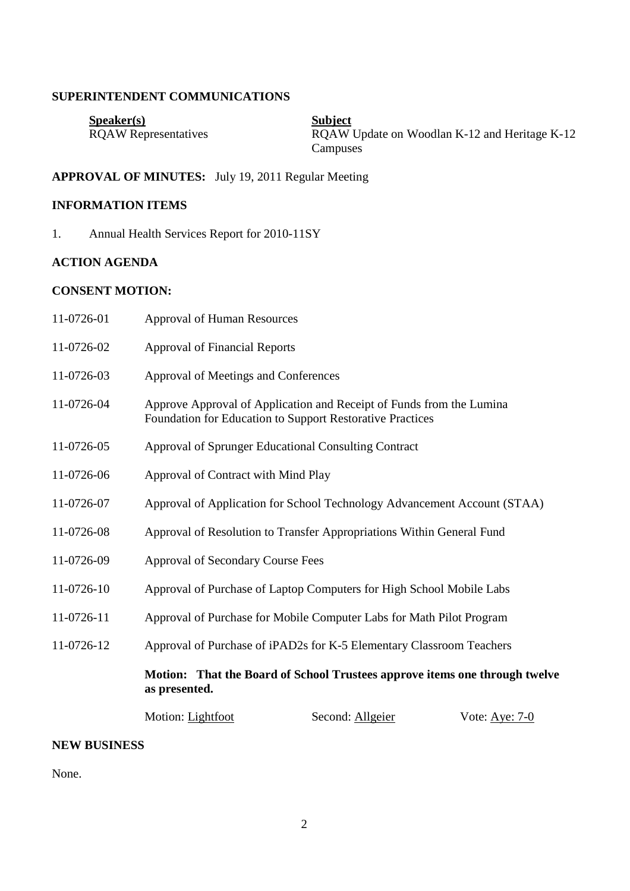#### **SUPERINTENDENT COMMUNICATIONS**

| S <sub>p</sub> e <sub>aker(s)</sub> | <b>Subject</b>                                |
|-------------------------------------|-----------------------------------------------|
| <b>ROAW</b> Representatives         | ROAW Update on Woodlan K-12 and Heritage K-12 |
|                                     | Campuses                                      |

# **APPROVAL OF MINUTES:** July 19, 2011 Regular Meeting

# **INFORMATION ITEMS**

1. Annual Health Services Report for 2010-11SY

# **ACTION AGENDA**

# **CONSENT MOTION:**

| 11-0726-01 | <b>Approval of Human Resources</b>                                                                                                |                  |                  |  |
|------------|-----------------------------------------------------------------------------------------------------------------------------------|------------------|------------------|--|
| 11-0726-02 | <b>Approval of Financial Reports</b>                                                                                              |                  |                  |  |
| 11-0726-03 | Approval of Meetings and Conferences                                                                                              |                  |                  |  |
| 11-0726-04 | Approve Approval of Application and Receipt of Funds from the Lumina<br>Foundation for Education to Support Restorative Practices |                  |                  |  |
| 11-0726-05 | Approval of Sprunger Educational Consulting Contract                                                                              |                  |                  |  |
| 11-0726-06 | Approval of Contract with Mind Play                                                                                               |                  |                  |  |
| 11-0726-07 | Approval of Application for School Technology Advancement Account (STAA)                                                          |                  |                  |  |
| 11-0726-08 | Approval of Resolution to Transfer Appropriations Within General Fund                                                             |                  |                  |  |
| 11-0726-09 | <b>Approval of Secondary Course Fees</b>                                                                                          |                  |                  |  |
| 11-0726-10 | Approval of Purchase of Laptop Computers for High School Mobile Labs                                                              |                  |                  |  |
| 11-0726-11 | Approval of Purchase for Mobile Computer Labs for Math Pilot Program                                                              |                  |                  |  |
| 11-0726-12 | Approval of Purchase of iPAD2s for K-5 Elementary Classroom Teachers                                                              |                  |                  |  |
|            | Motion: That the Board of School Trustees approve items one through twelve<br>as presented.                                       |                  |                  |  |
|            | Motion: Lightfoot                                                                                                                 | Second: Allgeier | Vote: Aye: $7-0$ |  |

#### **NEW BUSINESS**

None.